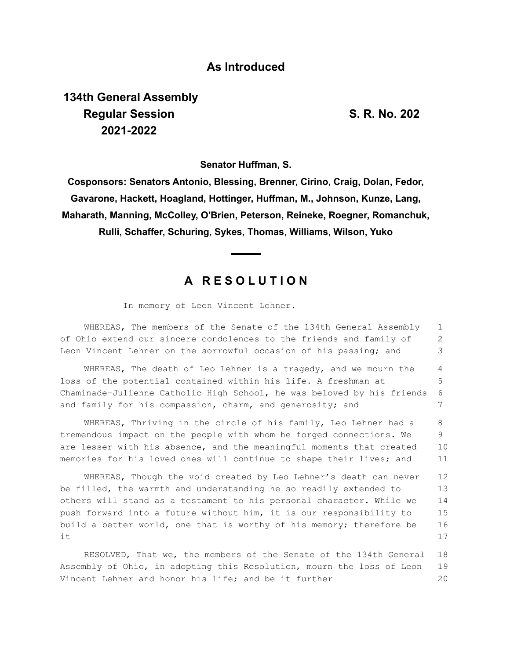## **As Introduced**

**134th General Assembly Regular Session S. R. No. 202 2021-2022**

**Senator Huffman, S.**

**Cosponsors: Senators Antonio, Blessing, Brenner, Cirino, Craig, Dolan, Fedor, Gavarone, Hackett, Hoagland, Hottinger, Huffman, M., Johnson, Kunze, Lang, Maharath, Manning, McColley, O'Brien, Peterson, Reineke, Roegner, Romanchuk, Rulli, Schaffer, Schuring, Sykes, Thomas, Williams, Wilson, Yuko**

## **A R E S O L U T I O N**

In memory of Leon Vincent Lehner.

WHEREAS, The members of the Senate of the 134th General Assembly of Ohio extend our sincere condolences to the friends and family of Leon Vincent Lehner on the sorrowful occasion of his passing; and 1 2 3

WHEREAS, The death of Leo Lehner is a tragedy, and we mourn the loss of the potential contained within his life. A freshman at Chaminade-Julienne Catholic High School, he was beloved by his friends and family for his compassion, charm, and generosity; and 4 5 6 7

WHEREAS, Thriving in the circle of his family, Leo Lehner had a tremendous impact on the people with whom he forged connections. We are lesser with his absence, and the meaningful moments that created memories for his loved ones will continue to shape their lives; and 8 9 10 11

WHEREAS, Though the void created by Leo Lehner's death can never be filled, the warmth and understanding he so readily extended to others will stand as a testament to his personal character. While we push forward into a future without him, it is our responsibility to build a better world, one that is worthy of his memory; therefore be it 12 13 14 15 16 17

RESOLVED, That we, the members of the Senate of the 134th General Assembly of Ohio, in adopting this Resolution, mourn the loss of Leon Vincent Lehner and honor his life; and be it further 18 19 20